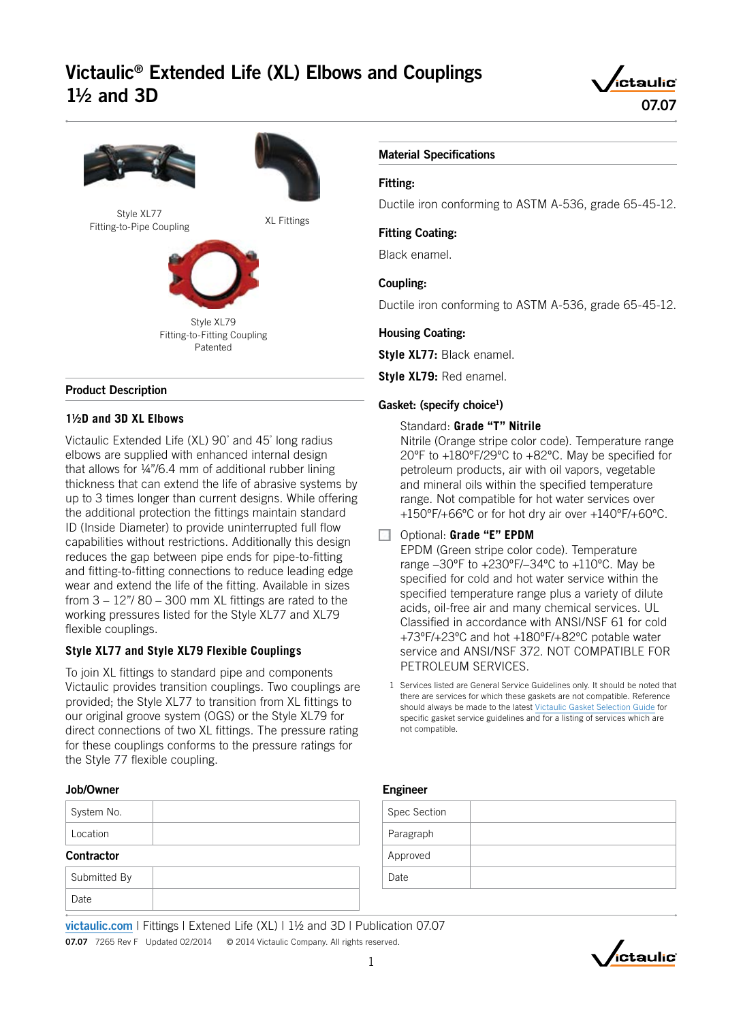# Victaulic® Extended Life (XL) Elbows and Couplings  $1\frac{1}{2}$  and 3D





#### Product Description

### **1½D and 3D XL Elbows**

Victaulic Extended Life (XL) 90° and 45° long radius elbows are supplied with enhanced internal design that allows for ¼"/6.4 mm of additional rubber lining thickness that can extend the life of abrasive systems by up to 3 times longer than current designs. While offering the additional protection the fittings maintain standard ID (Inside Diameter) to provide uninterrupted full flow capabilities without restrictions. Additionally this design reduces the gap between pipe ends for pipe-to-fitting and fitting-to-fitting connections to reduce leading edge wear and extend the life of the fitting. Available in sizes from  $3 - 12$ "/ $80 - 300$  mm XL fittings are rated to the working pressures listed for the Style XL77 and XL79 flexible couplings.

### **Style XL77 and Style XL79 Flexible Couplings**

To join XL fittings to standard pipe and components Victaulic provides transition couplings. Two couplings are provided; the Style XL77 to transition from XL fittings to our original groove system (OGS) or the Style XL79 for direct connections of two XL fittings. The pressure rating for these couplings conforms to the pressure ratings for the Style 77 flexible coupling.

### Job/Owner

| System No.                |  |
|---------------------------|--|
| Location                  |  |
| .<br>$\ddot{\phantom{1}}$ |  |

#### **Contractor**

| Submitted By |  |
|--------------|--|
| Date         |  |

#### Material Specifications

#### Fitting:

Ductile iron conforming to ASTM A-536, grade 65-45-12.

#### Fitting Coating:

Black enamel.

#### Coupling:

Ductile iron conforming to ASTM A-536, grade 65-45-12.

#### Housing Coating:

**Style XL77:** Black enamel.

**Style XL79:** Red enamel.

#### Gasket: (specify choice<sup>1</sup>)

Standard: **Grade "T" Nitrile**

Nitrile (Orange stripe color code). Temperature range 20ºF to +180ºF/29ºC to +82ºC. May be specified for petroleum products, air with oil vapors, vegetable and mineral oils within the specified temperature range. Not compatible for hot water services over +150ºF/+66ºC or for hot dry air over +140ºF/+60ºC.

#### Optional: **Grade "E" EPDM**

EPDM (Green stripe color code). Temperature range –30ºF to +230ºF/–34ºC to +110ºC. May be specified for cold and hot water service within the specified temperature range plus a variety of dilute acids, oil-free air and many chemical services. UL Classified in accordance with ANSI/NSF 61 for cold +73ºF/+23ºC and hot +180ºF/+82ºC potable water service and ANSI/NSF 372. NOT COMPATIBLE FOR PETROLEUM SERVICES.

1 Services listed are General Service Guidelines only. It should be noted that there are services for which these gaskets are not compatible. Reference should always be made to the latest [Victaulic Gasket Selection Guide](http://static.victaulic.com/assets/uploads/literature/05.01.pdf) for specific gasket service guidelines and for a listing of services which are not compatible.

#### Engineer

| Spec Section |  |
|--------------|--|
| Paragraph    |  |
| Approved     |  |
| Date         |  |
|              |  |

[victaulic.com](http://www.victaulic.com) | Fittings | Extened Life (XL) | 1½ and 3D | Publication 07.07 07.07 7265 Rev F Updated 02/2014 © 2014 Victaulic Company. All rights reserved.

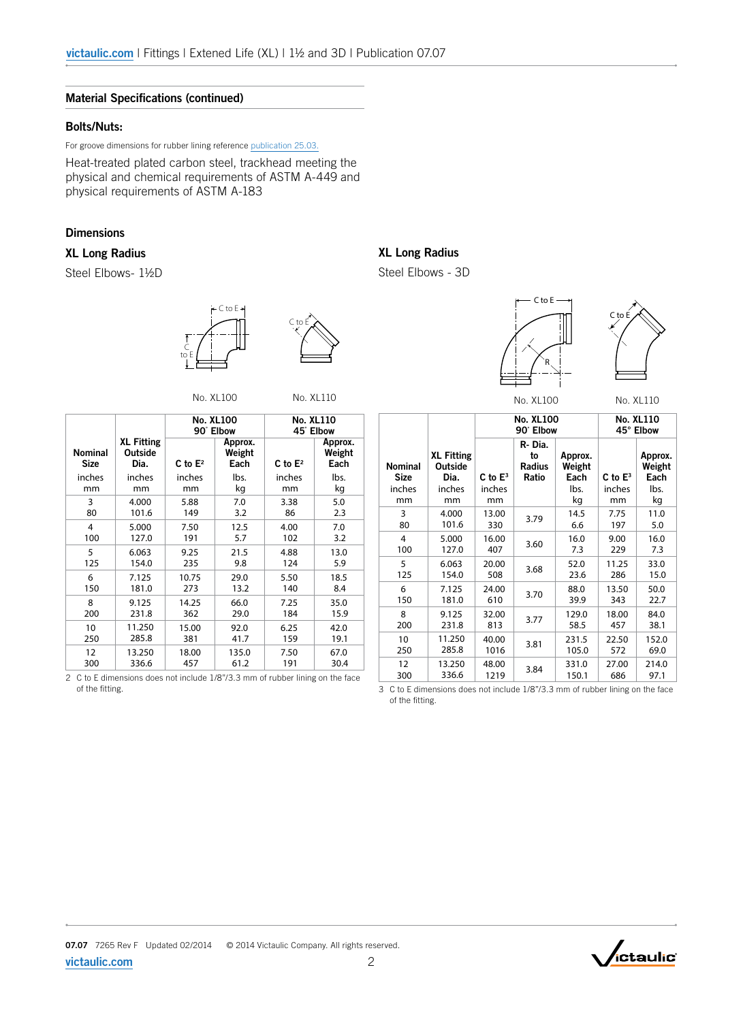#### Material Specifications (continued)

#### Bolts/Nuts:

For groove dimensions for rubber lining reference [publication 25.03.](http://static.victaulic.com/assets/uploads/literature/25.03.pdf)

Heat-treated plated carbon steel, trackhead meeting the physical and chemical requirements of ASTM A-449 and physical requirements of ASTM A-183

#### **Dimensions**

#### XL Long Radius

Steel Elbows- 1½D





No. XL100 No. XL110

|                               |                                      |            | <b>No. XL100</b><br>90° Elbow | <b>No. XL110</b><br>45° Elbow |                           |  |
|-------------------------------|--------------------------------------|------------|-------------------------------|-------------------------------|---------------------------|--|
| <b>Nominal</b><br><b>Size</b> | <b>XL Fitting</b><br>Outside<br>Dia. | C to $E^2$ | Approx.<br>Weight<br>Each     | C to $E^2$                    | Approx.<br>Weight<br>Each |  |
| inches                        | inches                               | inches     | lbs.                          | inches                        | lbs.                      |  |
| mm                            | mm                                   | mm         | kg                            | mm                            | kg                        |  |
| 3                             | 4.000                                | 5.88       | 7.0                           | 3.38                          | 5.0                       |  |
| 80                            | 101.6                                | 149        | 3.2                           | 86                            | 2.3                       |  |
| 4                             | 5.000                                | 7.50       | 12.5                          | 4.00                          | 7.0                       |  |
| 100                           | 127.0                                | 191        | 5.7                           | 102                           | 3.2                       |  |
| 5                             | 6.063                                | 9.25       | 21.5                          | 4.88                          | 13.0                      |  |
| 125                           | 154.0                                | 235        | 9.8                           | 124                           | 5.9                       |  |
| 6                             | 7.125                                | 10.75      | 29.0                          | 5.50                          | 18.5                      |  |
| 150                           | 181.0                                | 273        | 13.2                          | 140                           | 8.4                       |  |
| 8                             | 9.125                                | 14.25      | 66.0                          | 7.25                          | 35.0                      |  |
| 200                           | 231.8                                | 362        | 29.0                          | 184                           | 15.9                      |  |
| 10                            | 11.250                               | 15.00      | 92.0                          | 6.25                          | 42.0                      |  |
| 250                           | 285.8                                | 381        | 41.7                          | 159                           | 19.1                      |  |
| 12                            | 13.250                               | 18.00      | 135.0                         | 7.50                          | 67.0                      |  |
| 300                           | 336.6                                | 457        | 61.2                          | 191                           | 30.4                      |  |

2 C to E dimensions does not include 1/8"/3.3 mm of rubber lining on the face of the fitting.

# XL Long Radius

Steel Elbows - 3D





No. XL100 No. XL110

|                                         |                                                |                      | <b>No. XL100</b><br>90° Elbow          | <b>No. XL110</b><br>45° Elbow     |                      |                                   |
|-----------------------------------------|------------------------------------------------|----------------------|----------------------------------------|-----------------------------------|----------------------|-----------------------------------|
| <b>Nominal</b><br><b>Size</b><br>inches | <b>XL Fitting</b><br>Outside<br>Dia.<br>inches | C to $E^3$<br>inches | R-Dia.<br>to<br><b>Radius</b><br>Ratio | Approx.<br>Weight<br>Each<br>lbs. | C to $E^3$<br>inches | Approx.<br>Weight<br>Each<br>lbs. |
| mm                                      | mm                                             | mm                   |                                        | kg                                | mm                   | kg                                |
| 3                                       | 4.000                                          | 13.00                | 3.79                                   | 14.5                              | 7.75                 | 11.0                              |
| 80                                      | 101.6                                          | 330                  |                                        | 6.6                               | 197                  | 5.0                               |
| $\overline{4}$                          | 5.000                                          | 16.00                | 3.60                                   | 16.0                              | 9.00                 | 16.0                              |
| 100                                     | 127.0                                          | 407                  |                                        | 7.3                               | 229                  | 7.3                               |
| 5                                       | 6.063                                          | 20.00                | 3.68                                   | 52.0                              | 11.25                | 33.0                              |
| 125                                     | 154.0                                          | 508                  |                                        | 23.6                              | 286                  | 15.0                              |
| 6                                       | 7.125                                          | 24.00                | 3.70                                   | 88.0                              | 13.50                | 50.0                              |
| 150                                     | 181.0                                          | 610                  |                                        | 39.9                              | 343                  | 22.7                              |
| 8                                       | 9.125                                          | 32.00                | 3.77                                   | 129.0                             | 18.00                | 84.0                              |
| 200                                     | 231.8                                          | 813                  |                                        | 58.5                              | 457                  | 38.1                              |
| 10                                      | 11.250                                         | 40.00                | 3.81                                   | 231.5                             | 22.50                | 152.0                             |
| 250                                     | 285.8                                          | 1016                 |                                        | 105.0                             | 572                  | 69.0                              |
| 12                                      | 13.250                                         | 48.00                | 3.84                                   | 331.0                             | 27.00                | 214.0                             |
| 300                                     | 336.6                                          | 1219                 |                                        | 150.1                             | 686                  | 97.1                              |

3 C to E dimensions does not include 1/8"/3.3 mm of rubber lining on the face of the fitting.



[victaulic.com](http://www.victaulic.com)